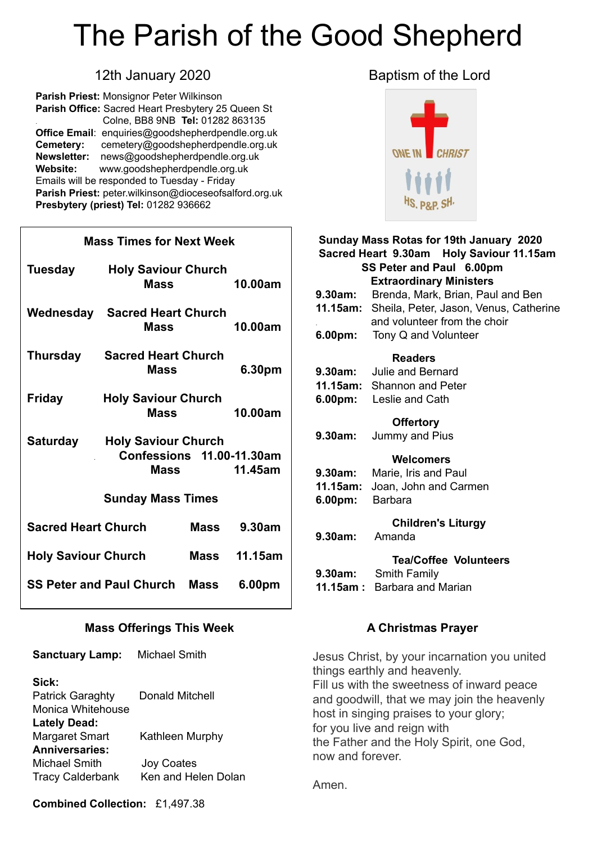# The Parish of the Good Shepherd

**Parish Priest:** Monsignor Peter Wilkinson **Parish Office:** Sacred Heart Presbytery 25 Queen St . Colne, BB8 9NB **Tel:** 01282 863135 **Office Email**: [enquiries@goodshepherdpendle.org.uk](mailto:enquiries@goodshepherdpendle.org.uk) **Cemetery:** cemetery@goodshepherdpendle.org.uk **Newsletter:** news@goodshepherdpendle.org.uk **Website:** www.goodshepherdpendle.org.uk Emails will be responded to Tuesday - Friday **Parish Priest:** [peter.wilkinson@dioceseofsalford.org.uk](mailto:Emailpeter.wilkinson@dioceseofsalford.org.uk) **Presbytery (priest) Tel:** 01282 936662

### **Mass Times for Next Week**

| Tuesday                              | <b>Holy Saviour Church</b><br><b>Mass</b>                       |      | 10.00am             |
|--------------------------------------|-----------------------------------------------------------------|------|---------------------|
|                                      | <b>Wednesday Sacred Heart Church</b><br>Mass                    |      | 10.00am             |
| Thursday                             | <b>Sacred Heart Church</b><br>Mass                              |      | 6.30pm              |
| <b>Friday</b>                        | <b>Holy Saviour Church</b><br>Mass                              |      | 10.00am             |
| Saturday                             | <b>Holy Saviour Church</b><br>Confessions 11.00-11.30am<br>Mass |      | 11.45am             |
| <b>Sunday Mass Times</b>             |                                                                 |      |                     |
| <b>Sacred Heart Church</b>           |                                                                 | Mass | 9.30am              |
| <b>Holy Saviour Church</b>           |                                                                 |      | <b>Mass</b> 11.15am |
| <b>SS Peter and Paul Church Mass</b> |                                                                 |      | 6.00pm              |

#### **Mass Offerings This Week**

| <b>Sanctuary Lamp:</b>  | <b>Michael Smith</b>   |
|-------------------------|------------------------|
| Sick:                   |                        |
| <b>Patrick Garaghty</b> | <b>Donald Mitchell</b> |
| Monica Whitehouse       |                        |
| <b>Lately Dead:</b>     |                        |
| <b>Margaret Smart</b>   | Kathleen Murphy        |
| <b>Anniversaries:</b>   |                        |
| Michael Smith           | <b>Joy Coates</b>      |
| <b>Tracy Calderbank</b> | Ken and Helen Dolan    |

### 12th January 2020 **Baptism of the Lord**



| Sunday Mass Rotas for 19th January 2020  |                                                        |  |  |
|------------------------------------------|--------------------------------------------------------|--|--|
| Sacred Heart 9.30am Holy Saviour 11.15am |                                                        |  |  |
| SS Peter and Paul 6.00pm                 |                                                        |  |  |
| <b>Extraordinary Ministers</b>           |                                                        |  |  |
| 9.30am:                                  | Brenda, Mark, Brian, Paul and Ben                      |  |  |
|                                          | <b>11.15am:</b> Sheila, Peter, Jason, Venus, Catherine |  |  |
|                                          | and volunteer from the choir                           |  |  |
|                                          | <b>6.00pm:</b> Tony Q and Volunteer                    |  |  |
| <b>Readers</b>                           |                                                        |  |  |
|                                          | <b>9.30am:</b> Julie and Bernard                       |  |  |
|                                          | 11.15am: Shannon and Peter                             |  |  |
|                                          | 6.00pm: Leslie and Cath                                |  |  |
|                                          |                                                        |  |  |
| <b>Offertory</b>                         |                                                        |  |  |
| 9.30am:                                  | Jummy and Pius                                         |  |  |
| Welcomers                                |                                                        |  |  |
|                                          | 9.30am: Marie, Iris and Paul                           |  |  |
| 11.15am:                                 | Joan, John and Carmen                                  |  |  |
| 6.00pm: Barbara                          |                                                        |  |  |
|                                          |                                                        |  |  |
|                                          | <b>Children's Liturgy</b>                              |  |  |
| 9.30am:                                  | Amanda                                                 |  |  |
| <b>Tea/Coffee Volunteers</b>             |                                                        |  |  |
| 9.30am:                                  | Smith Family                                           |  |  |
|                                          | <b>11.15am:</b> Barbara and Marian                     |  |  |
|                                          |                                                        |  |  |

#### **A Christmas Prayer**

Jesus Christ, by your incarnation you united things earthly and heavenly. Fill us with the sweetness of inward peace and goodwill, that we may join the heavenly host in singing praises to your glory; for you live and reign with the Father and the Holy Spirit, one God, now and forever.

Amen.

**Combined Collection:** £1,497.38